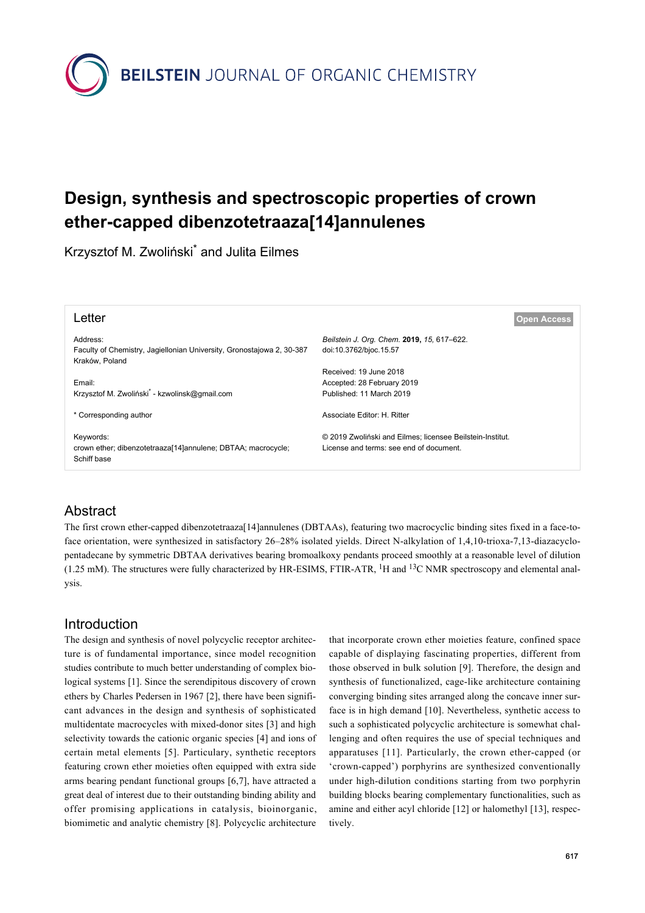

# **Design, synthesis and spectroscopic properties of crown ether-capped dibenzotetraaza[14]annulenes**

Krzysztof M. Zwoliński<sup>\*</sup> and Julita Eilmes

| Letter                                                                                              | <b>Open Access</b>                                                                                   |
|-----------------------------------------------------------------------------------------------------|------------------------------------------------------------------------------------------------------|
| Address:<br>Faculty of Chemistry, Jagiellonian University, Gronostajowa 2, 30-387<br>Kraków, Poland | Beilstein J. Org. Chem. 2019, 15, 617-622.<br>doi:10.3762/bjoc.15.57                                 |
| Email:                                                                                              | Received: 19 June 2018<br>Accepted: 28 February 2019                                                 |
| Krzysztof M. Zwoliński <sup>*</sup> - kzwolinsk@gmail.com                                           | Published: 11 March 2019                                                                             |
| * Corresponding author                                                                              | Associate Editor: H. Ritter                                                                          |
| Keywords:<br>crown ether; dibenzotetraaza[14]annulene; DBTAA; macrocycle;<br>Schiff base            | © 2019 Zwoliński and Eilmes; licensee Beilstein-Institut.<br>License and terms: see end of document. |

# Abstract

The first crown ether-capped dibenzotetraaza[14]annulenes (DBTAAs), featuring two macrocyclic binding sites fixed in a face-toface orientation, were synthesized in satisfactory 26–28% isolated yields. Direct N-alkylation of 1,4,10-trioxa-7,13-diazacyclopentadecane by symmetric DBTAA derivatives bearing bromoalkoxy pendants proceed smoothly at a reasonable level of dilution  $(1.25 \text{ mM})$ . The structures were fully characterized by HR-ESIMS, FTIR-ATR, <sup>1</sup>H and <sup>13</sup>C NMR spectroscopy and elemental analysis.

# Introduction

The design and synthesis of novel polycyclic receptor architecture is of fundamental importance, since model recognition studies contribute to much better understanding of complex biological systems [\[1\].](#page-4-0) Since the serendipitous discovery of crown ethers by Charles Pedersen in 1967 [\[2\],](#page-4-1) there have been significant advances in the design and synthesis of sophisticated multidentate macrocycles with mixed-donor sites [\[3\]](#page-4-2) and high selectivity towards the cationic organic species [\[4\]](#page-4-3) and ions of certain metal elements [\[5\]](#page-4-4). Particulary, synthetic receptors featuring crown ether moieties often equipped with extra side arms bearing pendant functional groups [\[6,7\],](#page-4-5) have attracted a great deal of interest due to their outstanding binding ability and offer promising applications in catalysis, bioinorganic, biomimetic and analytic chemistry [\[8\]](#page-4-6). Polycyclic architecture

that incorporate crown ether moieties feature, confined space capable of displaying fascinating properties, different from those observed in bulk solution [\[9\].](#page-4-7) Therefore, the design and synthesis of functionalized, cage-like architecture containing converging binding sites arranged along the concave inner surface is in high demand [\[10\]](#page-4-8). Nevertheless, synthetic access to such a sophisticated polycyclic architecture is somewhat challenging and often requires the use of special techniques and apparatuses [\[11\]](#page-4-9). Particularly, the crown ether-capped (or 'crown-capped') porphyrins are synthesized conventionally under high-dilution conditions starting from two porphyrin building blocks bearing complementary functionalities, such as amine and either acyl chloride [\[12\]](#page-4-10) or halomethyl [\[13\]](#page-4-11), respectively.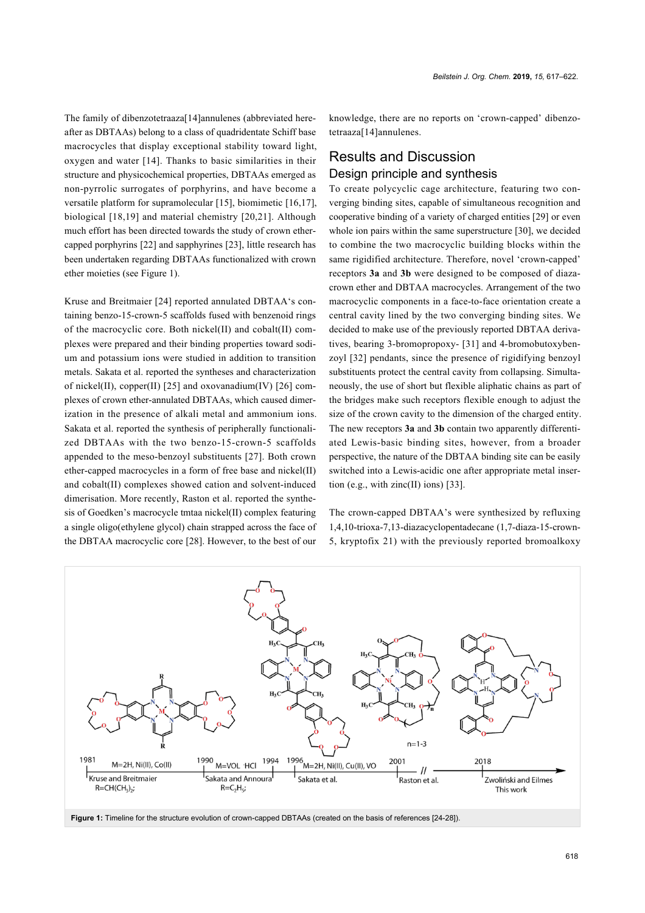The family of dibenzotetraaza[14]annulenes (abbreviated hereafter as DBTAAs) belong to a class of quadridentate Schiff base macrocycles that display exceptional stability toward light, oxygen and water [\[14\]](#page-4-12). Thanks to basic similarities in their structure and physicochemical properties, DBTAAs emerged as non-pyrrolic surrogates of porphyrins, and have become a versatile platform for supramolecular [\[15\]](#page-4-13), biomimetic [\[16,17\]](#page-4-14), biological [\[18,19\]](#page-5-1) and material chemistry [\[20,21\]](#page-5-2). Although much effort has been directed towards the study of crown ethercapped porphyrins [\[22\]](#page-5-3) and sapphyrines [\[23\]](#page-5-4), little research has been undertaken regarding DBTAAs functionalized with crown ether moieties (see [Figure 1\)](#page-1-0).

Kruse and Breitmaier [\[24\]](#page-5-0) reported annulated DBTAA's containing benzo-15-crown-5 scaffolds fused with benzenoid rings of the macrocyclic core. Both nickel(II) and cobalt(II) complexes were prepared and their binding properties toward sodium and potassium ions were studied in addition to transition metals. Sakata et al. reported the syntheses and characterization of nickel(II), copper(II) [\[25\]](#page-5-5) and oxovanadium(IV) [\[26\]](#page-5-6) complexes of crown ether-annulated DBTAAs, which caused dimerization in the presence of alkali metal and ammonium ions. Sakata et al. reported the synthesis of peripherally functionalized DBTAAs with the two benzo-15-crown-5 scaffolds appended to the meso-benzoyl substituents [\[27\].](#page-5-7) Both crown ether-capped macrocycles in a form of free base and nickel(II) and cobalt(II) complexes showed cation and solvent-induced dimerisation. More recently, Raston et al. reported the synthesis of Goedken's macrocycle tmtaa nickel(II) complex featuring a single oligo(ethylene glycol) chain strapped across the face of the DBTAA macrocyclic core [\[28\].](#page-5-8) However, to the best of our

knowledge, there are no reports on 'crown-capped' dibenzotetraaza[14]annulenes.

# Results and Discussion Design principle and synthesis

To create polycyclic cage architecture, featuring two converging binding sites, capable of simultaneous recognition and cooperative binding of a variety of charged entities [\[29\]](#page-5-9) or even whole ion pairs within the same superstructure [\[30\]](#page-5-10), we decided to combine the two macrocyclic building blocks within the same rigidified architecture. Therefore, novel 'crown-capped' receptors **3a** and **3b** were designed to be composed of diazacrown ether and DBTAA macrocycles. Arrangement of the two macrocyclic components in a face-to-face orientation create a central cavity lined by the two converging binding sites. We decided to make use of the previously reported DBTAA derivatives, bearing 3-bromopropoxy- [\[31\]](#page-5-11) and 4-bromobutoxybenzoyl [\[32\]](#page-5-12) pendants, since the presence of rigidifying benzoyl substituents protect the central cavity from collapsing. Simultaneously, the use of short but flexible aliphatic chains as part of the bridges make such receptors flexible enough to adjust the size of the crown cavity to the dimension of the charged entity. The new receptors **3a** and **3b** contain two apparently differentiated Lewis-basic binding sites, however, from a broader perspective, the nature of the DBTAA binding site can be easily switched into a Lewis-acidic one after appropriate metal inser-tion (e.g., with zinc(II) ions) [\[33\].](#page-5-13)

The crown-capped DBTAA's were synthesized by refluxing 1,4,10-trioxa-7,13-diazacyclopentadecane (1,7-diaza-15-crown-5, kryptofix 21) with the previously reported bromoalkoxy

<span id="page-1-0"></span>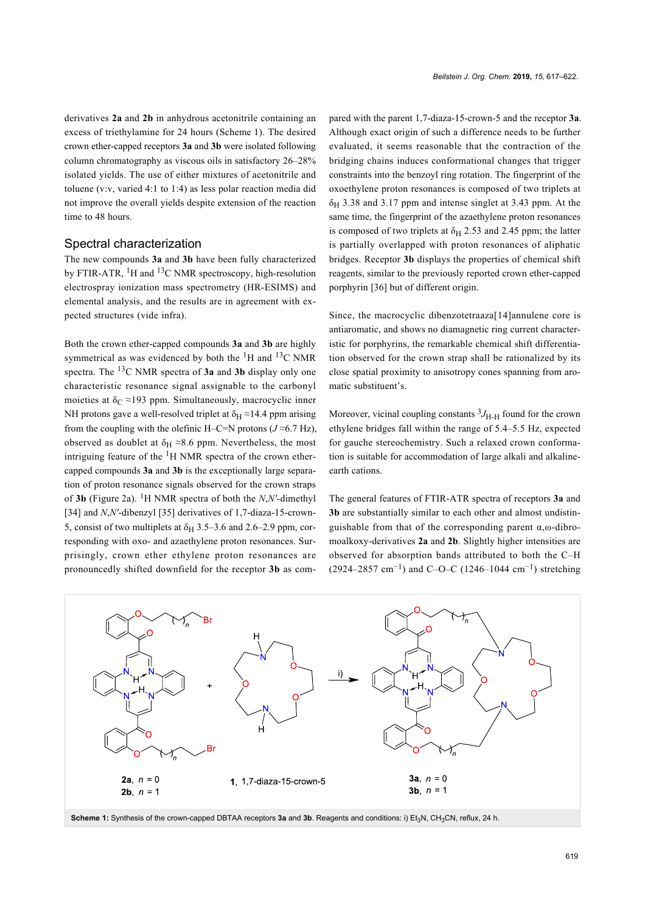derivatives **2a** and **2b** in anhydrous acetonitrile containing an excess of triethylamine for 24 hours ([Scheme 1\)](#page-2-0). The desired crown ether-capped receptors **3a** and **3b** were isolated following column chromatography as viscous oils in satisfactory 26–28% isolated yields. The use of either mixtures of acetonitrile and toluene (v:v, varied 4:1 to 1:4) as less polar reaction media did not improve the overall yields despite extension of the reaction time to 48 hours.

#### Spectral characterization

The new compounds **3a** and **3b** have been fully characterized by FTIR-ATR,  ${}^{1}H$  and  ${}^{13}C$  NMR spectroscopy, high-resolution electrospray ionization mass spectrometry (HR-ESIMS) and elemental analysis, and the results are in agreement with expected structures (vide infra).

Both the crown ether-capped compounds **3a** and **3b** are highly symmetrical as was evidenced by both the  ${}^{1}H$  and  ${}^{13}C$  NMR spectra. The 13C NMR spectra of **3a** and **3b** display only one characteristic resonance signal assignable to the carbonyl moieties at  $\delta$ <sub>C</sub> ≈193 ppm. Simultaneously, macrocyclic inner NH protons gave a well-resolved triplet at  $\delta_H \approx 14.4$  ppm arising from the coupling with the olefinic H–C=N protons  $(J \approx 6.7 \text{ Hz})$ , observed as doublet at  $\delta_H \approx 8.6$  ppm. Nevertheless, the most intriguing feature of the  ${}^{1}$ H NMR spectra of the crown ethercapped compounds **3a** and **3b** is the exceptionally large separation of proton resonance signals observed for the crown straps of **3b** ([Figure 2a\)](#page-3-0). <sup>1</sup>H NMR spectra of both the *N*,*N'*-dimethyl [\[34\]](#page-5-14) and *N*,*N'*-dibenzyl [\[35\]](#page-5-15) derivatives of 1,7-diaza-15-crown-5, consist of two multiplets at  $\delta$ <sub>H</sub> 3.5–3.6 and 2.6–2.9 ppm, corresponding with oxo- and azaethylene proton resonances. Surprisingly, crown ether ethylene proton resonances are pronouncedly shifted downfield for the receptor **3b** as compared with the parent 1,7-diaza-15-crown-5 and the receptor **3a**. Although exact origin of such a difference needs to be further evaluated, it seems reasonable that the contraction of the bridging chains induces conformational changes that trigger constraints into the benzoyl ring rotation. The fingerprint of the oxoethylene proton resonances is composed of two triplets at  $\delta_H$  3.38 and 3.17 ppm and intense singlet at 3.43 ppm. At the same time, the fingerprint of the azaethylene proton resonances is composed of two triplets at  $\delta_H$  2.53 and 2.45 ppm; the latter is partially overlapped with proton resonances of aliphatic bridges. Receptor **3b** displays the properties of chemical shift reagents, similar to the previously reported crown ether-capped porphyrin [\[36\]](#page-5-16) but of different origin.

Since, the macrocyclic dibenzotetraaza[14]annulene core is antiaromatic, and shows no diamagnetic ring current characteristic for porphyrins, the remarkable chemical shift differentiation observed for the crown strap shall be rationalized by its close spatial proximity to anisotropy cones spanning from aromatic substituent's.

Moreover, vicinal coupling constants  ${}^{3}J_{H-H}$  found for the crown ethylene bridges fall within the range of 5.4–5.5 Hz, expected for gauche stereochemistry. Such a relaxed crown conformation is suitable for accommodation of large alkali and alkalineearth cations.

The general features of FTIR-ATR spectra of receptors **3a** and **3b** are substantially similar to each other and almost undistinguishable from that of the corresponding parent  $\alpha$ , $\omega$ -dibromoalkoxy-derivatives **2a** and **2b**. Slightly higher intensities are observed for absorption bands attributed to both the C–H (2924–2857 cm<sup>-1</sup>) and C–O–C (1246–1044 cm<sup>-1</sup>) stretching

<span id="page-2-0"></span>

Scheme 1: Synthesis of the crown-capped DBTAA receptors 3a and 3b. Reagents and conditions: i) Et<sub>3</sub>N, CH<sub>3</sub>CN, reflux, 24 h.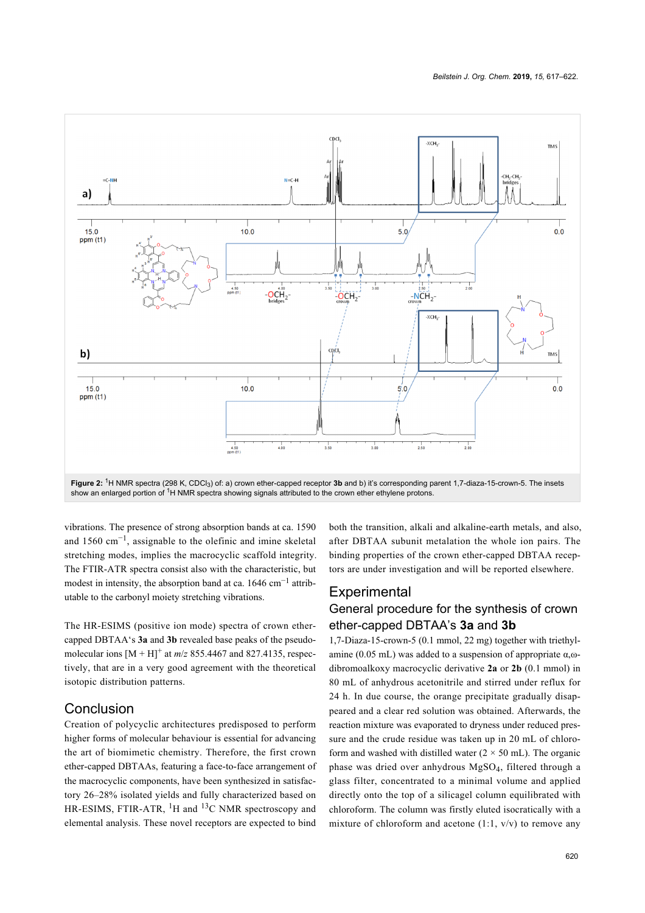<span id="page-3-0"></span>

vibrations. The presence of strong absorption bands at ca. 1590 and 1560 cm−<sup>1</sup> , assignable to the olefinic and imine skeletal stretching modes, implies the macrocyclic scaffold integrity. The FTIR-ATR spectra consist also with the characteristic, but modest in intensity, the absorption band at ca. 1646 cm<sup>-1</sup> attributable to the carbonyl moiety stretching vibrations.

The HR-ESIMS (positive ion mode) spectra of crown ethercapped DBTAA's **3a** and **3b** revealed base peaks of the pseudomolecular ions  $[M + H]^+$  at  $m/z$  855.4467 and 827.4135, respectively, that are in a very good agreement with the theoretical isotopic distribution patterns.

## Conclusion

Creation of polycyclic architectures predisposed to perform higher forms of molecular behaviour is essential for advancing the art of biomimetic chemistry. Therefore, the first crown ether-capped DBTAAs, featuring a face-to-face arrangement of the macrocyclic components, have been synthesized in satisfactory 26–28% isolated yields and fully characterized based on HR-ESIMS, FTIR-ATR,  ${}^{1}H$  and  ${}^{13}C$  NMR spectroscopy and elemental analysis. These novel receptors are expected to bind

both the transition, alkali and alkaline-earth metals, and also, after DBTAA subunit metalation the whole ion pairs. The binding properties of the crown ether-capped DBTAA receptors are under investigation and will be reported elsewhere.

## **Experimental**

## General procedure for the synthesis of crown ether-capped DBTAA's **3a** and **3b**

1,7-Diaza-15-crown-5 (0.1 mmol, 22 mg) together with triethylamine (0.05 mL) was added to a suspension of appropriate  $α<sub>ω</sub>$ dibromoalkoxy macrocyclic derivative **2a** or **2b** (0.1 mmol) in 80 mL of anhydrous acetonitrile and stirred under reflux for 24 h. In due course, the orange precipitate gradually disappeared and a clear red solution was obtained. Afterwards, the reaction mixture was evaporated to dryness under reduced pressure and the crude residue was taken up in 20 mL of chloroform and washed with distilled water  $(2 \times 50 \text{ mL})$ . The organic phase was dried over anhydrous MgSO<sup>4</sup> , filtered through a glass filter, concentrated to a minimal volume and applied directly onto the top of a silicagel column equilibrated with chloroform. The column was firstly eluted isocratically with a mixture of chloroform and acetone  $(1:1, v/v)$  to remove any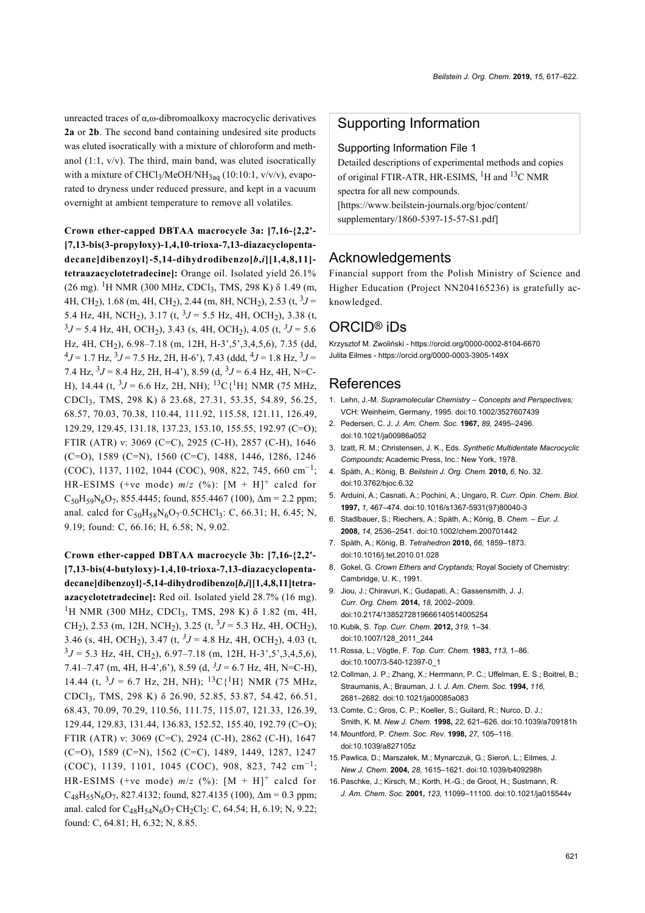unreacted traces of α,ω-dibromoalkoxy macrocyclic derivatives **2a** or **2b**. The second band containing undesired site products was eluted isocratically with a mixture of chloroform and methanol  $(1:1, v/v)$ . The third, main band, was eluted isocratically with a mixture of CHCl<sub>3</sub>/MeOH/NH<sub>3aq</sub> (10:10:1, v/v/v), evaporated to dryness under reduced pressure, and kept in a vacuum overnight at ambient temperature to remove all volatiles.

**Crown ether-capped DBTAA macrocycle 3a: [7,16-{2,2'- [7,13-bis(3-propyloxy)-1,4,10-trioxa-7,13-diazacyclopentadecane]dibenzoyl}-5,14-dihydrodibenzo[***b***,***i***][1,4,8,11] tetraazacyclotetradecine]:** Orange oil. Isolated yield 26.1% (26 mg). <sup>1</sup>H NMR (300 MHz, CDCl<sub>3</sub>, TMS, 298 K)  $\delta$  1.49 (m, 4H, CH2), 1.68 (m, 4H, CH2), 2.44 (m, 8H, NCH2), 2.53 (t, <sup>3</sup> *J* = 5.4 Hz, 4H, NCH<sub>2</sub>), 3.17 (t, <sup>3</sup> $J = 5.5$  Hz, 4H, OCH<sub>2</sub>), 3.38 (t,  $3J = 5.4$  Hz, 4H, OCH<sub>2</sub>), 3.43 (s, 4H, OCH<sub>2</sub>), 4.05 (t,  $3J = 5.6$ Hz, 4H, CH<sub>2</sub>), 6.98–7.18 (m, 12H, H-3', 5', 3, 4, 5, 6), 7.35 (dd,  $^{4}J$  = 1.7 Hz,  $^{3}J$  = 7.5 Hz, 2H, H-6'), 7.43 (ddd,  $^{4}J$  = 1.8 Hz,  $^{3}J$  = 7.4 Hz,  $3J = 8.4$  Hz, 2H, H-4<sup>2</sup>), 8.59 (d,  $3J = 6.4$  Hz, 4H, N=C-H), 14.44 (t,  $3J = 6.6$  Hz, 2H, NH);  $13C\{^1H\}$  NMR (75 MHz, CDCl3, TMS, 298 K) δ 23.68, 27.31, 53.35, 54.89, 56.25, 68.57, 70.03, 70.38, 110.44, 111.92, 115.58, 121.11, 126.49, 129.29, 129.45, 131.18, 137.23, 153.10, 155.55, 192.97 (C=O); FTIR (ATR) ν: 3069 (C=C), 2925 (C-H), 2857 (C-H), 1646 (C=O), 1589 (C=N), 1560 (C=C), 1488, 1446, 1286, 1246 (COC), 1137, 1102, 1044 (COC), 908, 822, 745, 660 cm−<sup>1</sup> ; HR-ESIMS (+ve mode)  $m/z$  (%):  $[M + H]^{+}$  calcd for  $C_{50}H_{59}N_6O_7$ , 855.4445; found, 855.4467 (100),  $\Delta m = 2.2$  ppm; anal. calcd for  $C_{50}H_{58}N_6O_7 \cdot 0.5CHCl_3$ : C, 66.31; H, 6.45; N, 9.19; found: C, 66.16; H, 6.58; N, 9.02.

**Crown ether-capped DBTAA macrocycle 3b: [7,16-{2,2'- [7,13-bis(4-butyloxy)-1,4,10-trioxa-7,13-diazacyclopentadecane]dibenzoyl}-5,14-dihydrodibenzo[***b***,***i***][1,4,8,11]tetraazacyclotetradecine]:** Red oil. Isolated yield 28.7% (16 mg). <sup>1</sup>H NMR (300 MHz, CDCl<sub>3</sub>, TMS, 298 K) δ 1.82 (m, 4H, CH<sub>2</sub>), 2.53 (m, 12H, NCH<sub>2</sub>), 3.25 (t, <sup>3</sup>J = 5.3 Hz, 4H, OCH<sub>2</sub>), 3.46 (s, 4H, OCH<sub>2</sub>), 3.47 (t, <sup>3</sup> $J = 4.8$  Hz, 4H, OCH<sub>2</sub>), 4.03 (t,  $3J = 5.3$  Hz, 4H, CH<sub>2</sub>), 6.97–7.18 (m, 12H, H-3',5',3,4,5,6), 7.41–7.47 (m, 4H, H-4',6'), 8.59 (d, *<sup>3</sup> J* = 6.7 Hz, 4H, N=C-H), 14.44 (t,  $3J = 6.7$  Hz, 2H, NH);  $13C$ <sup>1</sup>H} NMR (75 MHz, CDCl<sup>3</sup> , TMS, 298 K) δ 26.90, 52.85, 53.87, 54.42, 66.51, 68.43, 70.09, 70.29, 110.56, 111.75, 115.07, 121.33, 126.39, 129.44, 129.83, 131.44, 136.83, 152.52, 155.40, 192.79 (C=O); FTIR (ATR) ν: 3069 (C=C), 2924 (C-H), 2862 (C-H), 1647 (C=O), 1589 (C=N), 1562 (C=C), 1489, 1449, 1287, 1247  $(COC)$ , 1139, 1101, 1045 (COC), 908, 823, 742 cm<sup>-1</sup>; HR-ESIMS (+ve mode)  $m/z$  (%):  $[M + H]^{+}$  calcd for  $C_{48}H_{55}N_6O_7$ , 827.4132; found, 827.4135 (100),  $\Delta m = 0.3$  ppm; anal. calcd for  $C_{48}H_{54}N_6O_7CH_2Cl_2$ : C, 64.54; H, 6.19; N, 9.22; found: C, 64.81; H, 6.32; N, 8.85.

### Supporting Information

#### Supporting Information File 1

Detailed descriptions of experimental methods and copies of original FTIR-ATR, HR-ESIMS,  ${}^{1}H$  and  ${}^{13}C$  NMR spectra for all new compounds. [\[https://www.beilstein-journals.org/bjoc/content/](https://www.beilstein-journals.org/bjoc/content/supplementary/1860-5397-15-57-S1.pdf) [supplementary/1860-5397-15-57-S1.pdf\]](https://www.beilstein-journals.org/bjoc/content/supplementary/1860-5397-15-57-S1.pdf)

#### Acknowledgements

Financial support from the Polish Ministry of Science and Higher Education (Project NN204165236) is gratefully acknowledged.

## ORCID® iDs

Krzysztof M. Zwoliński - <https://orcid.org/0000-0002-8104-6670> Julita Eilmes -<https://orcid.org/0000-0003-3905-149X>

### References

- <span id="page-4-0"></span>1. Lehn, J.-M. *Supramolecular Chemistry – Concepts and Perspectives;* VCH: Weinheim, Germany, 1995. [doi:10.1002/3527607439](https://doi.org/10.1002%2F3527607439)
- <span id="page-4-1"></span>2. Pedersen, C. J. *J. Am. Chem. Soc.* **1967,** *89,* 2495–2496. [doi:10.1021/ja00986a052](https://doi.org/10.1021%2Fja00986a052)
- <span id="page-4-2"></span>3. Izatt, R. M.; Christensen, J. K., Eds. *Synthetic Multidentate Macrocyclic Compounds;* Academic Press, Inc.: New York, 1978.
- <span id="page-4-3"></span>4. Späth, A.; König, B. *Beilstein J. Org. Chem.* **2010,** *6,* No. 32. [doi:10.3762/bjoc.6.32](https://doi.org/10.3762%2Fbjoc.6.32)
- <span id="page-4-4"></span>5. Arduini, A.; Casnati, A.; Pochini, A.; Ungaro, R. *Curr. Opin. Chem. Biol.* **1997,** *1,* 467–474. [doi:10.1016/s1367-5931\(97\)80040-3](https://doi.org/10.1016%2Fs1367-5931%2897%2980040-3)
- <span id="page-4-5"></span>6. Stadlbauer, S.; Riechers, A.; Späth, A.; König, B. *Chem. – Eur. J.* **2008,** *14,* 2536–2541. [doi:10.1002/chem.200701442](https://doi.org/10.1002%2Fchem.200701442)
- 7. Späth, A.; König, B. *Tetrahedron* **2010,** *66,* 1859–1873. [doi:10.1016/j.tet.2010.01.028](https://doi.org/10.1016%2Fj.tet.2010.01.028)
- <span id="page-4-6"></span>8. Gokel, G. *Crown Ethers and Cryptands;* Royal Society of Chemistry: Cambridge, U. K., 1991.
- <span id="page-4-7"></span>9. Jiou, J.; Chiravuri, K.; Gudapati, A.; Gassensmith, J. J. *Curr. Org. Chem.* **2014,** *18,* 2002–2009. [doi:10.2174/1385272819666140514005254](https://doi.org/10.2174%2F1385272819666140514005254)
- <span id="page-4-8"></span>10.Kubik, S. *Top. Curr. Chem.* **2012,** *319,* 1–34. [doi:10.1007/128\\_2011\\_244](https://doi.org/10.1007%2F128_2011_244)
- <span id="page-4-9"></span>11. Rossa, L.; Vögtle, F. *Top. Curr. Chem.* **1983,** *113,* 1–86. [doi:10.1007/3-540-12397-0\\_1](https://doi.org/10.1007%2F3-540-12397-0_1)
- <span id="page-4-10"></span>12. Collman, J. P.; Zhang, X.; Herrmann, P. C.; Uffelman, E. S.; Boitrel, B.; Straumanis, A.; Brauman, J. I. *J. Am. Chem. Soc.* **1994,** *116,* 2681–2682. [doi:10.1021/ja00085a083](https://doi.org/10.1021%2Fja00085a083)
- <span id="page-4-11"></span>13. Comte, C.; Gros, C. P.; Koeller, S.; Guilard, R.; Nurco, D. J.; Smith, K. M. *New J. Chem.* **1998,** *22,* 621–626. [doi:10.1039/a709181h](https://doi.org/10.1039%2Fa709181h)
- <span id="page-4-12"></span>14. Mountford, P. *Chem. Soc. Rev.* **1998,** *27,* 105–116. [doi:10.1039/a827105z](https://doi.org/10.1039%2Fa827105z)
- <span id="page-4-13"></span>15.Pawlica, D.; Marszałek, M.; Mynarczuk, G.; Sieroń, L.; Eilmes, J. *New J. Chem.* **2004,** *28,* 1615–1621. [doi:10.1039/b409298h](https://doi.org/10.1039%2Fb409298h)
- <span id="page-4-14"></span>16.Paschke, J.; Kirsch, M.; Korth, H.-G.; de Groot, H.; Sustmann, R. *J. Am. Chem. Soc.* **2001,** *123,* 11099–11100. [doi:10.1021/ja015544v](https://doi.org/10.1021%2Fja015544v)